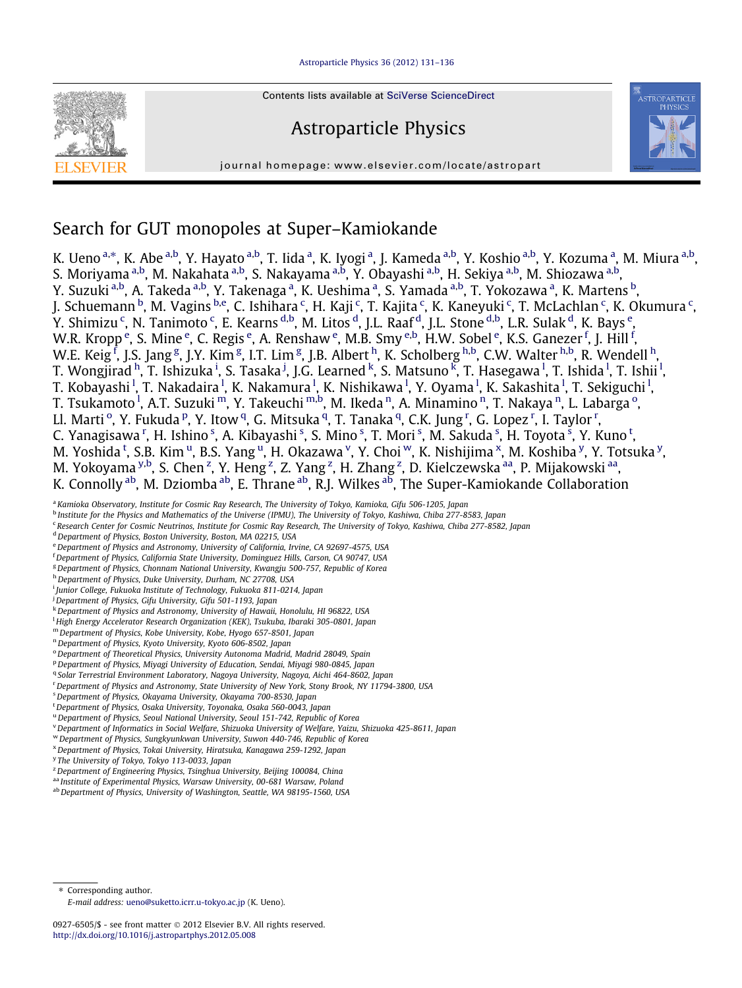#### [Astroparticle Physics 36 \(2012\) 131–136](http://dx.doi.org/10.1016/j.astropartphys.2012.05.008)



Contents lists available at [SciVerse ScienceDirect](http://www.sciencedirect.com/science/journal/09276505)

# Astroparticle Physics





# Search for GUT monopoles at Super–Kamiokande

K. Ueno <sup>a,\*</sup>, K. Abe <sup>a,b</sup>, Y. Hayato <sup>a,b</sup>, T. Iida <sup>a</sup>, K. Iyogi <sup>a</sup>, J. Kameda <sup>a,b</sup>, Y. Koshio <sup>a,b</sup>, Y. Kozuma <sup>a</sup>, M. Miura <sup>a,b</sup>, S. Moriyama <sup>a,b</sup>, M. Nakahata <sup>a,b</sup>, S. Nakayama <sup>a,b</sup>, Y. Obayashi <sup>a,b</sup>, H. Sekiya <sup>a,b</sup>, M. Shiozawa <sup>a,b</sup>, Y. Suzuki <sup>a,b</sup>, A. Takeda <sup>a,b</sup>, Y. Takenaga <sup>a</sup>, K. Ueshima <sup>a</sup>, S. Yamada <sup>a,b</sup>, T. Yokozawa <sup>a</sup>, K. Martens <sup>b</sup>, J. Schuemann <sup>b</sup>, M. Vagins <sup>b,e</sup>, C. Ishihara <sup>c</sup>, H. Kaji <sup>c</sup>, T. Kajita <sup>c</sup>, K. Kaneyuki <sup>c</sup>, T. McLachlan <sup>c</sup>, K. Okumura <sup>c</sup>, Y. Shimizu <sup>c</sup>, N. Tanimoto <sup>c</sup>, E. Kearns <sup>d,b</sup>, M. Litos <sup>d</sup>, J.L. Raaf <sup>d</sup>, J.L. Stone <sup>d,b</sup>, L.R. Sulak <sup>d</sup>, K. Bays <sup>e</sup>, W.R. Kropp <sup>e</sup>, S. Mine <sup>e</sup>, C. Regis <sup>e</sup>, A. Renshaw <sup>e</sup>, M.B. Smy <sup>e,b</sup>, H.W. Sobel <sup>e</sup>, K.S. Ganezer <sup>f</sup>, J. Hill <sup>f</sup>, W.E. Keig<sup>f</sup>, J.S. Jang<sup>g</sup>, J.Y. Kim<sup>g</sup>, I.T. Lim<sup>g</sup>, J.B. Albert <sup>h</sup>, K. Scholberg <sup>h,b</sup>, C.W. Walter <sup>h,b</sup>, R. Wendell <sup>h</sup>, T. Wongjirad <sup>h</sup>, T. Ishizuka <sup>i</sup>, S. Tasaka <sup>j</sup>, J.G. Learned <sup>k</sup>, S. Matsuno <sup>k</sup>, T. Hasegawa <sup>l</sup>, T. Ishida <sup>l</sup>, T. Ishii <sup>l</sup>, T. Kobayashi <sup>I</sup>, T. Nakadaira <sup>I</sup>, K. Nakamura <sup>I</sup>, K. Nishikawa <sup>I</sup>, Y. Oyama <sup>I</sup>, K. Sakashita <sup>I</sup>, T. Sekiguchi <sup>I</sup>, T. Tsukamoto <sup>l</sup>, A.T. Suzuki <sup>m</sup>, Y. Takeuchi <sup>m,b</sup>, M. Ikeda <sup>n</sup>, A. Minamino <sup>n</sup>, T. Nakaya <sup>n</sup>, L. Labarga <sup>o</sup>, Ll. Marti <sup>o</sup>, Y. Fukuda <sup>p</sup>, Y. Itow <sup>q</sup>, G. Mitsuka <sup>q</sup>, T. Tanaka <sup>q</sup>, C.K. Jung <sup>r</sup>, G. Lopez <sup>r</sup>, I. Taylor <sup>r</sup>, C. Yanagisawa <sup>r</sup>, H. Ishino <sup>s</sup>, A. Kibayashi <sup>s</sup>, S. Mino <sup>s</sup>, T. Mori <sup>s</sup>, M. Sakuda <sup>s</sup>, H. Toyota <sup>s</sup>, Y. Kuno <sup>t</sup>, M. Yoshida <sup>t</sup>, S.B. Kim <sup>u</sup>, B.S. Yang <sup>u</sup>, H. Okazawa <sup>v</sup>, Y. Choi <sup>w</sup>, K. Nishijima <sup>x</sup>, M. Koshiba <sup>y</sup>, Y. Totsuka <sup>y</sup>, M. Yokoyama <sup>y,b</sup>, S. Chen <sup>z</sup>, Y. Heng <sup>z</sup>, Z. Yang <sup>z</sup>, H. Zhang <sup>z</sup>, D. Kielczewska <sup>aa</sup>, P. Mijakowski <sup>aa</sup>, K. Connolly <sup>ab</sup>, M. Dziomba <sup>ab</sup>, E. Thrane <sup>ab</sup>, R.J. Wilkes <sup>ab</sup>, The Super-Kamiokande Collaboration

a Kamioka Observatory, Institute for Cosmic Ray Research, The University of Tokyo, Kamioka, Gifu 506-1205, Japan

<sup>b</sup> Institute for the Physics and Mathematics of the Universe (IPMU), The University of Tokyo, Kashiwa, Chiba 277-8583, Japan

<sup>c</sup> Research Center for Cosmic Neutrinos, Institute for Cosmic Ray Research, The University of Tokyo, Kashiwa, Chiba 277-8582, Japan

<sup>d</sup> Department of Physics, Boston University, Boston, MA 02215, USA

- e Department of Physics and Astronomy, University of California, Irvine, CA 92697-4575, USA
- <sup>f</sup> Department of Physics, California State University, Dominguez Hills, Carson, CA 90747, USA
- <sup>g</sup> Department of Physics, Chonnam National University, Kwangju 500-757, Republic of Korea
- h Department of Physics, Duke University, Durham, NC 27708, USA
- <sup>i</sup> Junior College, Fukuoka Institute of Technology, Fukuoka 811-0214, Japan
- <sup>j</sup> Department of Physics, Gifu University, Gifu 501-1193, Japan
- <sup>k</sup>Department of Physics and Astronomy, University of Hawaii, Honolulu, HI 96822, USA
- <sup>1</sup> High Energy Accelerator Research Organization (KEK), Tsukuba, Ibaraki 305-0801, Japan
- <sup>m</sup> Department of Physics, Kobe University, Kobe, Hyogo 657-8501, Japan
- <sup>n</sup> Department of Physics, Kyoto University, Kyoto 606-8502, Japan
- $^{\circ}$  Department of Theoretical Physics, University Autonoma Madrid, Madrid 28049, Spain
- P Department of Physics, Miyagi University of Education, Sendai, Miyagi 980-0845, Japan
- <sup>q</sup> Solar Terrestrial Environment Laboratory, Nagoya University, Nagoya, Aichi 464-8602, Japan
- r Department of Physics and Astronomy, State University of New York, Stony Brook, NY 11794-3800, USA
- <sup>s</sup>Department of Physics, Okayama University, Okayama 700-8530, Japan
- <sup>t</sup> Department of Physics, Osaka University, Toyonaka, Osaka 560-0043, Japan
- <sup>u</sup> Department of Physics, Seoul National University, Seoul 151-742, Republic of Korea
- <sup>v</sup> Department of Informatics in Social Welfare, Shizuoka University of Welfare, Yaizu, Shizuoka 425-8611, Japan
- <sup>w</sup> Department of Physics, Sungkyunkwan University, Suwon 440-746, Republic of Korea
- <sup>x</sup>Department of Physics, Tokai University, Hiratsuka, Kanagawa 259-1292, Japan
- <sup>y</sup> The University of Tokyo, Tokyo 113-0033, Japan
- <sup>z</sup> Department of Engineering Physics, Tsinghua University, Beijing 100084, China
- aa Institute of Experimental Physics, Warsaw University, 00-681 Warsaw, Poland
- ab Department of Physics, University of Washington, Seattle, WA 98195-1560, USA

\* Corresponding author.

E-mail address: [ueno@suketto.icrr.u-tokyo.ac.jp](mailto:ueno@suketto.icrr.u-tokyo.ac.jp) (K. Ueno).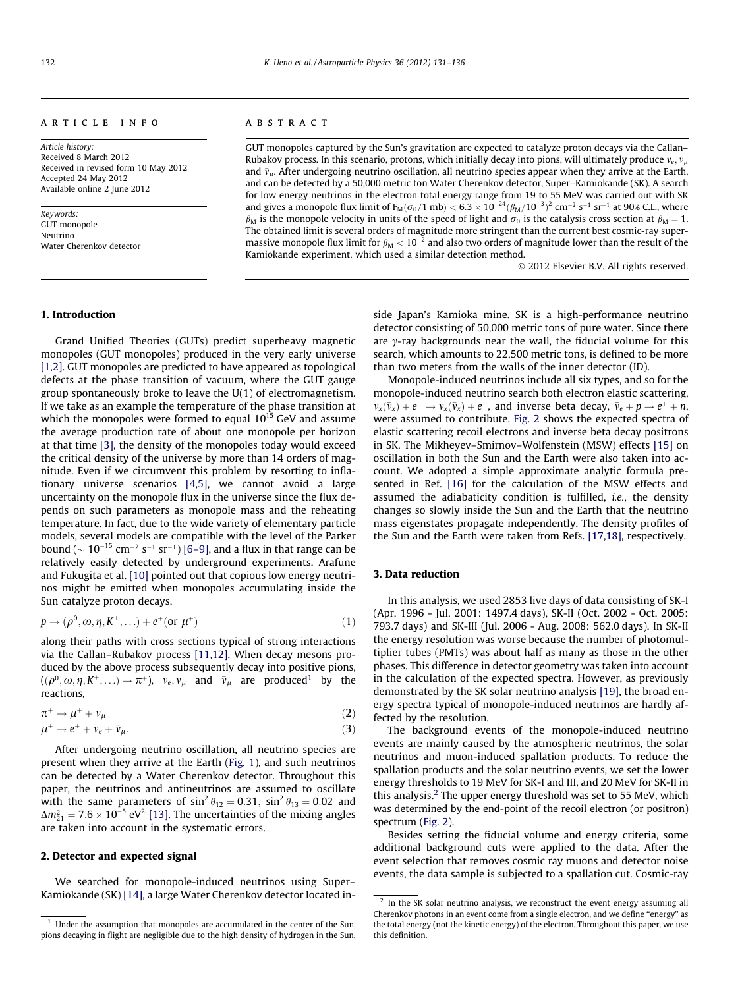# <span id="page-1-0"></span>article info

Article history: Received 8 March 2012 Received in revised form 10 May 2012 Accepted 24 May 2012 Available online 2 June 2012

Keywords: GUT monopole Neutrino Water Cherenkov detector

# **ABSTRACT**

GUT monopoles captured by the Sun's gravitation are expected to catalyze proton decays via the Callan– Rubakov process. In this scenario, protons, which initially decay into pions, will ultimately produce  $v_e$ ,  $v_\mu$ and  $\bar{v}_{\mu}$ . After undergoing neutrino oscillation, all neutrino species appear when they arrive at the Earth, and can be detected by a 50,000 metric ton Water Cherenkov detector, Super–Kamiokande (SK). A search for low energy neutrinos in the electron total energy range from 19 to 55 MeV was carried out with SK and gives a monopole flux limit of  $F_M(\sigma_0/1 \text{ mb}) < 6.3 \times 10^{-24} (\beta_M/10^{-3})^2 \text{ cm}^{-2} \text{ s}^{-1} \text{ sr}^{-1}$  at 90% C.L., where  $\beta_M$  is the monopole velocity in units of the speed of light and  $\sigma_0$  is the catalysis cross section at  $\beta_M = 1$ . The obtained limit is several orders of magnitude more stringent than the current best cosmic-ray supermassive monopole flux limit for  $\beta_\mathsf{M} < 10^{-2}$  and also two orders of magnitude lower than the result of the Kamiokande experiment, which used a similar detection method.

- 2012 Elsevier B.V. All rights reserved.

#### 1. Introduction

Grand Unified Theories (GUTs) predict superheavy magnetic monopoles (GUT monopoles) produced in the very early universe [\[1,2\]](#page-5-0). GUT monopoles are predicted to have appeared as topological defects at the phase transition of vacuum, where the GUT gauge group spontaneously broke to leave the U(1) of electromagnetism. If we take as an example the temperature of the phase transition at which the monopoles were formed to equal  $10^{15}$  GeV and assume the average production rate of about one monopole per horizon at that time [\[3\]](#page-5-0), the density of the monopoles today would exceed the critical density of the universe by more than 14 orders of magnitude. Even if we circumvent this problem by resorting to inflationary universe scenarios [\[4,5\],](#page-5-0) we cannot avoid a large uncertainty on the monopole flux in the universe since the flux depends on such parameters as monopole mass and the reheating temperature. In fact, due to the wide variety of elementary particle models, several models are compatible with the level of the Parker bound ( $\sim 10^{-15}$  cm<sup>-2</sup> s<sup>-1</sup> sr<sup>-1</sup>) [\[6–9\],](#page-5-0) and a flux in that range can be relatively easily detected by underground experiments. Arafune and Fukugita et al. [\[10\]](#page-5-0) pointed out that copious low energy neutrinos might be emitted when monopoles accumulating inside the Sun catalyze proton decays,

$$
p \rightarrow (\rho^0, \omega, \eta, K^+, \ldots) + e^+ \text{(or } \mu^+)
$$
 (1)

along their paths with cross sections typical of strong interactions via the Callan–Rubakov process [\[11,12\].](#page-5-0) When decay mesons produced by the above process subsequently decay into positive pions,  $((\rho^0, \omega, \eta, K^+, \ldots) \to \pi^+), \ \ v_e, v_\mu \ \ \text{ and } \ \ \bar{v}_\mu \ \ \text{ are produced}^1 \ \ \text{ by the}$ reactions,

$$
\pi^+ \to \mu^+ + \nu_\mu \tag{2}
$$

$$
\mu^+ \to e^+ + \nu_e + \bar{\nu}_\mu. \tag{3}
$$

After undergoing neutrino oscillation, all neutrino species are present when they arrive at the Earth ([Fig. 1\)](#page-2-0), and such neutrinos can be detected by a Water Cherenkov detector. Throughout this paper, the neutrinos and antineutrinos are assumed to oscillate with the same parameters of  $\sin^2 \theta_{12} = 0.31$ ,  $\sin^2 \theta_{13} = 0.02$  and  $\Delta m_{21}^2 = 7.6 \times 10^{-5}$  eV<sup>2</sup> [\[13\]](#page-5-0). The uncertainties of the mixing angles are taken into account in the systematic errors.

#### 2. Detector and expected signal

We searched for monopole-induced neutrinos using Super– Kamiokande (SK) [\[14\],](#page-5-0) a large Water Cherenkov detector located inside Japan's Kamioka mine. SK is a high-performance neutrino detector consisting of 50,000 metric tons of pure water. Since there are  $\gamma$ -ray backgrounds near the wall, the fiducial volume for this search, which amounts to 22,500 metric tons, is defined to be more than two meters from the walls of the inner detector (ID).

Monopole-induced neutrinos include all six types, and so for the monopole-induced neutrino search both electron elastic scattering,  $v_x(\bar{v}_x) + e^- \rightarrow v_x(\bar{v}_x) + e^-$ , and inverse beta decay,  $\bar{v}_e + p \rightarrow e^+ + n$ were assumed to contribute. [Fig. 2](#page-3-0) shows the expected spectra of elastic scattering recoil electrons and inverse beta decay positrons in SK. The Mikheyev–Smirnov–Wolfenstein (MSW) effects [\[15\]](#page-5-0) on oscillation in both the Sun and the Earth were also taken into account. We adopted a simple approximate analytic formula presented in Ref. [\[16\]](#page-5-0) for the calculation of the MSW effects and assumed the adiabaticity condition is fulfilled, i.e., the density changes so slowly inside the Sun and the Earth that the neutrino mass eigenstates propagate independently. The density profiles of the Sun and the Earth were taken from Refs. [\[17,18\]](#page-5-0), respectively.

# 3. Data reduction

In this analysis, we used 2853 live days of data consisting of SK-I (Apr. 1996 - Jul. 2001: 1497.4 days), SK-II (Oct. 2002 - Oct. 2005: 793.7 days) and SK-III (Jul. 2006 - Aug. 2008: 562.0 days). In SK-II the energy resolution was worse because the number of photomultiplier tubes (PMTs) was about half as many as those in the other phases. This difference in detector geometry was taken into account in the calculation of the expected spectra. However, as previously demonstrated by the SK solar neutrino analysis [\[19\]](#page-5-0), the broad energy spectra typical of monopole-induced neutrinos are hardly affected by the resolution.

The background events of the monopole-induced neutrino events are mainly caused by the atmospheric neutrinos, the solar neutrinos and muon-induced spallation products. To reduce the spallation products and the solar neutrino events, we set the lower energy thresholds to 19 MeV for SK-I and III, and 20 MeV for SK-II in this analysis.<sup>2</sup> The upper energy threshold was set to 55 MeV, which was determined by the end-point of the recoil electron (or positron) spectrum [\(Fig. 2\)](#page-3-0).

Besides setting the fiducial volume and energy criteria, some additional background cuts were applied to the data. After the event selection that removes cosmic ray muons and detector noise events, the data sample is subjected to a spallation cut. Cosmic-ray

 $1$  Under the assumption that monopoles are accumulated in the center of the Sun, pions decaying in flight are negligible due to the high density of hydrogen in the Sun.

 $2\,$  In the SK solar neutrino analysis, we reconstruct the event energy assuming all Cherenkov photons in an event come from a single electron, and we define ''energy'' as the total energy (not the kinetic energy) of the electron. Throughout this paper, we use this definition.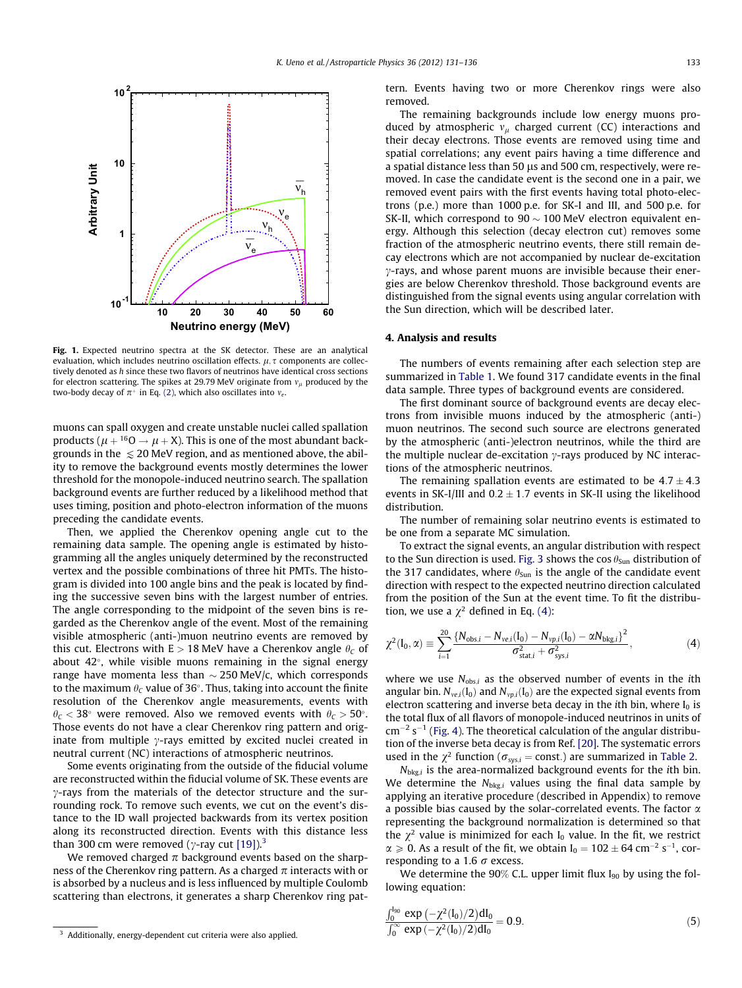<span id="page-2-0"></span>

Fig. 1. Expected neutrino spectra at the SK detector. These are an analytical evaluation, which includes neutrino oscillation effects.  $\mu$ ,  $\tau$  components are collectively denoted as h since these two flavors of neutrinos have identical cross sections for electron scattering. The spikes at 29.79 MeV originate from  $v_u$  produced by the two-body decay of  $\pi^+$  in Eq. [\(2\),](#page-1-0) which also oscillates into  $v_e$ .

muons can spall oxygen and create unstable nuclei called spallation products ( $\mu$  + <sup>16</sup>O  $\rightarrow$   $\mu$  + X). This is one of the most abundant backgrounds in the  $\leq$  20 MeV region, and as mentioned above, the ability to remove the background events mostly determines the lower threshold for the monopole-induced neutrino search. The spallation background events are further reduced by a likelihood method that uses timing, position and photo-electron information of the muons preceding the candidate events.

Then, we applied the Cherenkov opening angle cut to the remaining data sample. The opening angle is estimated by histogramming all the angles uniquely determined by the reconstructed vertex and the possible combinations of three hit PMTs. The histogram is divided into 100 angle bins and the peak is located by finding the successive seven bins with the largest number of entries. The angle corresponding to the midpoint of the seven bins is regarded as the Cherenkov angle of the event. Most of the remaining visible atmospheric (anti-)muon neutrino events are removed by this cut. Electrons with  $E > 18$  MeV have a Cherenkov angle  $\theta_C$  of about  $42^{\circ}$ , while visible muons remaining in the signal energy range have momenta less than  $\sim$  250 MeV/c, which corresponds to the maximum  $\theta_c$  value of 36°. Thus, taking into account the finite resolution of the Cherenkov angle measurements, events with  $\theta_C < 38^\circ$  were removed. Also we removed events with  $\theta_C > 50^\circ$ . Those events do not have a clear Cherenkov ring pattern and originate from multiple  $\gamma$ -rays emitted by excited nuclei created in neutral current (NC) interactions of atmospheric neutrinos.

Some events originating from the outside of the fiducial volume are reconstructed within the fiducial volume of SK. These events are  $\gamma$ -rays from the materials of the detector structure and the surrounding rock. To remove such events, we cut on the event's distance to the ID wall projected backwards from its vertex position along its reconstructed direction. Events with this distance less than 300 cm were removed ( $\gamma$ -ray cut [\[19\]](#page-5-0)).<sup>3</sup>

We removed charged  $\pi$  background events based on the sharpness of the Cherenkov ring pattern. As a charged  $\pi$  interacts with or is absorbed by a nucleus and is less influenced by multiple Coulomb scattering than electrons, it generates a sharp Cherenkov ring pattern. Events having two or more Cherenkov rings were also removed.

The remaining backgrounds include low energy muons produced by atmospheric  $v_{\mu}$  charged current (CC) interactions and their decay electrons. Those events are removed using time and spatial correlations; any event pairs having a time difference and a spatial distance less than 50 µs and 500 cm, respectively, were removed. In case the candidate event is the second one in a pair, we removed event pairs with the first events having total photo-electrons (p.e.) more than 1000 p.e. for SK-I and III, and 500 p.e. for SK-II, which correspond to  $90 \sim 100$  MeV electron equivalent energy. Although this selection (decay electron cut) removes some fraction of the atmospheric neutrino events, there still remain decay electrons which are not accompanied by nuclear de-excitation  $\gamma$ -rays, and whose parent muons are invisible because their energies are below Cherenkov threshold. Those background events are distinguished from the signal events using angular correlation with the Sun direction, which will be described later.

#### 4. Analysis and results

The numbers of events remaining after each selection step are summarized in [Table 1.](#page-3-0) We found 317 candidate events in the final data sample. Three types of background events are considered.

The first dominant source of background events are decay electrons from invisible muons induced by the atmospheric (anti-) muon neutrinos. The second such source are electrons generated by the atmospheric (anti-)electron neutrinos, while the third are the multiple nuclear de-excitation  $\gamma$ -rays produced by NC interactions of the atmospheric neutrinos.

The remaining spallation events are estimated to be  $4.7 \pm 4.3$ events in SK-I/III and  $0.2 \pm 1.7$  events in SK-II using the likelihood distribution.

The number of remaining solar neutrino events is estimated to be one from a separate MC simulation.

To extract the signal events, an angular distribution with respect to the Sun direction is used. [Fig. 3](#page-3-0) shows the cos  $\theta_{Sun}$  distribution of the 317 candidates, where  $\theta_{Sun}$  is the angle of the candidate event direction with respect to the expected neutrino direction calculated from the position of the Sun at the event time. To fit the distribution, we use a  $\chi^2$  defined in Eq. (4):

$$
\chi^{2}(\mathbf{I}_{0}, \alpha) \equiv \sum_{i=1}^{20} \frac{\{N_{\text{obs},i} - N_{\text{ve},i}(\mathbf{I}_{0}) - N_{\text{vp},i}(\mathbf{I}_{0}) - \alpha N_{\text{bkg},i}\}^{2}}{\sigma_{\text{stat},i}^{2} + \sigma_{\text{sys},i}^{2}},
$$
(4)

where we use  $N_{\text{obs},i}$  as the observed number of events in the *i*th angular bin.  $N_{ve,i}(I_0)$  and  $N_{vp,i}(I_0)$  are the expected signal events from electron scattering and inverse beta decay in the *i*th bin, where  $I_0$  is the total flux of all flavors of monopole-induced neutrinos in units of  $cm^{-2}$  s<sup>-1</sup> [\(Fig. 4\)](#page-4-0). The theoretical calculation of the angular distribution of the inverse beta decay is from Ref. [\[20\]](#page-5-0). The systematic errors used in the  $\chi^2$  function ( $\sigma_{sys,i}$  = const.) are summarized in [Table 2](#page-4-0).

 $N_{bkg,i}$  is the area-normalized background events for the *i*th bin. We determine the  $N_{bkg,i}$  values using the final data sample by applying an iterative procedure (described in Appendix) to remove a possible bias caused by the solar-correlated events. The factor  $\alpha$ representing the background normalization is determined so that the  $\chi^2$  value is minimized for each I<sub>0</sub> value. In the fit, we restrict  $\alpha \geqslant 0$ . As a result of the fit, we obtain  $I_0 = 102 \pm 64$  cm<sup>-2</sup> s<sup>-1</sup>, corresponding to a 1.6  $\sigma$  excess.

We determine the 90% C.L. upper limit flux  $I_{90}$  by using the following equation:

$$
\frac{\int_0^{l_{90}} \exp\left(-\chi^2(l_0)/2\right) dl_0}{\int_0^\infty \exp\left(-\chi^2(l_0)/2\right) dl_0} = 0.9.
$$
\n(5)

<sup>&</sup>lt;sup>3</sup> Additionally, energy-dependent cut criteria were also applied.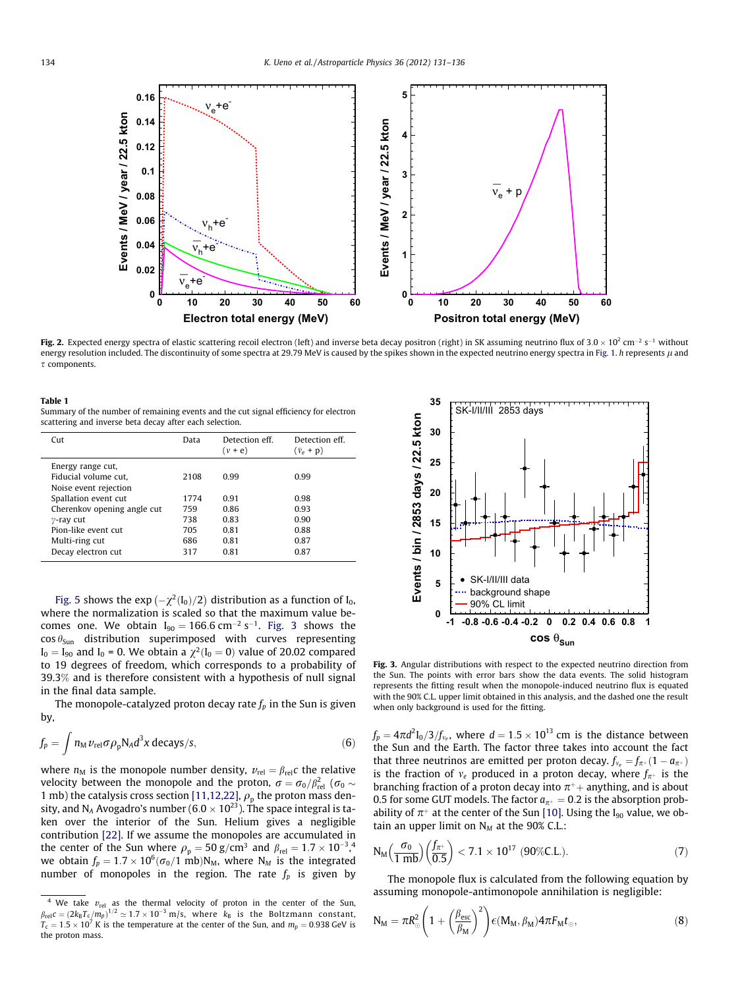<span id="page-3-0"></span>

Fig. 2. Expected energy spectra of elastic scattering recoil electron (left) and inverse beta decay positron (right) in SK assuming neutrino flux of 3.0  $\times$  10<sup>2</sup> cm<sup>-2</sup> s<sup>-1</sup> without energy resolution included. The discontinuity of some spectra at 29.79 MeV is caused by the spikes shown in the expected neutrino energy spectra in [Fig. 1](#page-2-0). h represents  $\mu$  and  $\tau$  components.

#### Table 1

Summary of the number of remaining events and the cut signal efficiency for electron scattering and inverse beta decay after each selection.

| C <sub>11</sub>             | Data | Detection eff<br>$(v + e)$ | Detection eff.<br>$(\bar{v}_e + p)$ |
|-----------------------------|------|----------------------------|-------------------------------------|
| Energy range cut,           |      |                            |                                     |
| Fiducial volume cut.        | 2108 | 0.99                       | 0.99                                |
| Noise event rejection       |      |                            |                                     |
| Spallation event cut        | 1774 | 0.91                       | 0.98                                |
| Cherenkov opening angle cut | 759  | 0.86                       | 0.93                                |
| $\gamma$ -ray cut           | 738  | 0.83                       | 0.90                                |
| Pion-like event cut         | 705  | 0.81                       | 0.88                                |
| Multi-ring cut              | 686  | 0.81                       | 0.87                                |
| Decay electron cut          | 317  | 0.81                       | 0.87                                |
|                             |      |                            |                                     |

[Fig. 5](#page-4-0) shows the  $\exp\left(-\chi^2(\mathrm{I}_0)/2\right)$  distribution as a function of  $\mathrm{I}_0$ , where the normalization is scaled so that the maximum value becomes one. We obtain  $I_{90} = 166.6$  cm<sup>-2</sup> s<sup>-1</sup>. Fig. 3 shows the  $\cos \theta_{Sun}$  distribution superimposed with curves representing  $I_0 = I_{90}$  and  $I_0 = 0$ . We obtain a  $\chi^2(I_0 = 0)$  value of 20.02 compared to 19 degrees of freedom, which corresponds to a probability of 39.3% and is therefore consistent with a hypothesis of null signal in the final data sample.

The monopole-catalyzed proton decay rate  $f_n$  in the Sun is given by,

$$
f_p = \int n_M \nu_{\rm rel} \sigma \rho_{\rm p} N_A d^3 x \, \text{decays/s},\tag{6}
$$

where  $n_M$  is the monopole number density,  $v_{rel} = \beta_{rel}c$  the relative velocity between the monopole and the proton,  $\sigma = \sigma_0/\beta_{\rm rel}^2$  (  $\sigma_0 \sim$ 1 mb) the catalysis cross section [\[11,12,22\],](#page-5-0)  $\rho_p$  the proton mass density, and N<sub>A</sub> Avogadro's number (6.0  $\times$  10<sup>23</sup>). The space integral is taken over the interior of the Sun. Helium gives a negligible contribution [\[22\]](#page-5-0). If we assume the monopoles are accumulated in the center of the Sun where  $\rho_{\rm p} = 50$  g/cm<sup>3</sup> and  $\beta_{\rm rel} = 1.7 \times 10^{-3}$ ,<sup>4</sup> we obtain  $f_p = 1.7 \times 10^6 (\sigma_0/1~{\rm mb}){\rm N_M}$ , where  ${\rm N_M}$  is the integrated number of monopoles in the region. The rate  $f_p$  is given by



Fig. 3. Angular distributions with respect to the expected neutrino direction from the Sun. The points with error bars show the data events. The solid histogram represents the fitting result when the monopole-induced neutrino flux is equated with the 90% C.L. upper limit obtained in this analysis, and the dashed one the result when only background is used for the fitting.

 $f_p = 4\pi d^2 \text{I}_0/3/f_{v_e}$ , where  $d = 1.5 \times 10^{13}$  cm is the distance between the Sun and the Earth. The factor three takes into account the fact that three neutrinos are emitted per proton decay.  $f_{v_e} = f_{\pi^+}(1 - a_{\pi^+})$ is the fraction of  $v_e$  produced in a proton decay, where  $f_{\pi^+}$  is the branching fraction of a proton decay into  $\pi^+$  anything, and is about 0.5 for some GUT models. The factor  $a_{\pi^+} = 0.2$  is the absorption probability of  $\pi^+$  at the center of the Sun [\[10\].](#page-5-0) Using the I<sub>90</sub> value, we obtain an upper limit on  $N_M$  at the 90% C.L.:

$$
N_M\left(\frac{\sigma_0}{1 mb}\right)\left(\frac{f_{\pi^+}}{0.5}\right) < 7.1 \times 10^{17} \text{ (90\%C.L.)}.
$$
 (7)

The monopole flux is calculated from the following equation by assuming monopole-antimonopole annihilation is negligible:

$$
N_M = \pi R_{\odot}^2 \left( 1 + \left( \frac{\beta_{esc}}{\beta_M} \right)^2 \right) \epsilon(M_M, \beta_M) 4 \pi F_M t_{\odot}, \tag{8}
$$

<sup>&</sup>lt;sup>4</sup> We take  $v_{rel}$  as the thermal velocity of proton in the center of the Sun,  $\beta_{\rm rel} c = (2k_{\rm B}T_{\rm c}/m_p)^{1/2} \simeq 1.7 \times 10^{-3}$  m/s, where  $k_{\rm B}$  is the Boltzmann constant,  $T_{\rm c} = 1.5 \times 10^7$  K is the temperature at the center of the Sun, and  $m_p = 0.938$  GeV is the proton mass.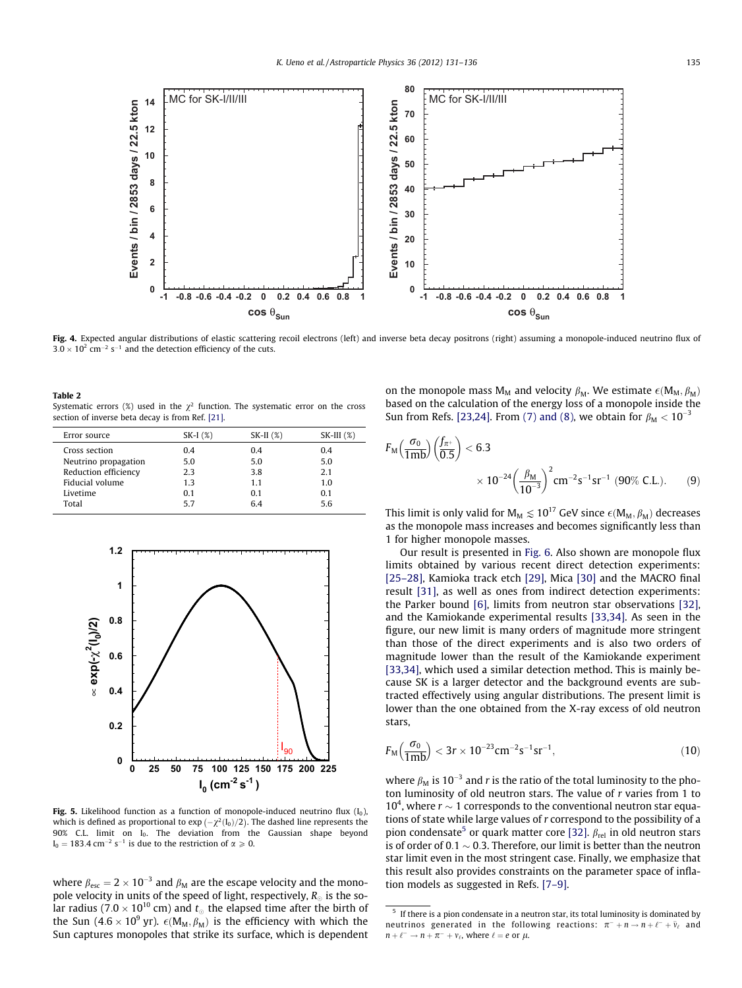<span id="page-4-0"></span>

Fig. 4. Expected angular distributions of elastic scattering recoil electrons (left) and inverse beta decay positrons (right) assuming a monopole-induced neutrino flux of  $3.0 \times 10^2$  cm<sup>-2</sup> s<sup>-1</sup> and the detection efficiency of the cuts.

| Table 2                                                                                  |  |
|------------------------------------------------------------------------------------------|--|
| Systematic errors (%) used in the $\gamma^2$ function. The systematic error on the cross |  |
| section of inverse beta decay is from Ref. [21].                                         |  |

| Error source         | $SK-I(%)$ | $SK-II$ $(\%)$ | $SK-III(%)$ |
|----------------------|-----------|----------------|-------------|
| Cross section        | 0.4       | 0.4            | 0.4         |
| Neutrino propagation | 5.0       | 5.0            | 5.0         |
| Reduction efficiency | 2.3       | 3.8            | 2.1         |
| Fiducial volume      | 1.3       | 1.1            | 1.0         |
| Livetime             | 0.1       | 0.1            | 0.1         |
| Total                | 57        | 64             | 56          |



Fig. 5. Likelihood function as a function of monopole-induced neutrino flux  $(I_0)$ , which is defined as proportional to  $exp(-\chi^2(I_0)/2)$ . The dashed line represents the  $90\%$  C.L. limit on  $I_0$ . The deviation from the Gaussian shape beyond  $I_0 = 183.4$  cm<sup>-2</sup> s<sup>-1</sup> is due to the restriction of  $\alpha \ge 0$ .

where  $\beta_{\rm esc} = 2 \times 10^{-3}$  and  $\beta_{\rm M}$  are the escape velocity and the monopole velocity in units of the speed of light, respectively,  $R_{\odot}$  is the solar radius (7.0  $\times$  10 $^{10}$  cm) and  $t_{\odot}$  the elapsed time after the birth of the Sun (4.6  $\times$  10 $^9$  yr).  $\epsilon$ (M<sub>M</sub>,  $\beta_{\rm M}$ ) is the efficiency with which the Sun captures monopoles that strike its surface, which is dependent on the monopole mass  $M_M$  and velocity  $\beta_M$ . We estimate  $\epsilon(M_M, \beta_M)$ based on the calculation of the energy loss of a monopole inside the Sun from Refs. [\[23,24\]](#page-5-0). From [\(7\) and \(8\),](#page-3-0) we obtain for  $\beta_M < 10^{-3}$ 

$$
F_{\rm M} \left( \frac{\sigma_0}{1 \, \text{mb}} \right) \left( \frac{f_{\pi^+}}{0.5} \right) < 6.3 \\
\times 10^{-24} \left( \frac{\beta_{\rm M}}{10^{-3}} \right)^2 \, \text{cm}^{-2} \, \text{s}^{-1} \, \text{sr}^{-1} \, \left( 90\% \, \text{C.L.} \right). \tag{9}
$$

This limit is only valid for M<sub>M</sub>  $\lesssim 10^{17}$  GeV since  $\epsilon$ (M<sub>M</sub>,  $\beta_{\rm M}$ ) decreases as the monopole mass increases and becomes significantly less than 1 for higher monopole masses.

Our result is presented in [Fig. 6.](#page-5-0) Also shown are monopole flux limits obtained by various recent direct detection experiments: [\[25–28\]](#page-5-0), Kamioka track etch [\[29\],](#page-5-0) Mica [\[30\]](#page-5-0) and the MACRO final result [\[31\]](#page-5-0), as well as ones from indirect detection experiments: the Parker bound [\[6\]](#page-5-0), limits from neutron star observations [\[32\],](#page-5-0) and the Kamiokande experimental results [\[33,34\].](#page-5-0) As seen in the figure, our new limit is many orders of magnitude more stringent than those of the direct experiments and is also two orders of magnitude lower than the result of the Kamiokande experiment [\[33,34\],](#page-5-0) which used a similar detection method. This is mainly because SK is a larger detector and the background events are subtracted effectively using angular distributions. The present limit is lower than the one obtained from the X-ray excess of old neutron stars,

$$
F_{\rm M}\left(\frac{\sigma_0}{1\rm mb}\right) < 3r \times 10^{-23} \rm cm^{-2} s^{-1} sr^{-1},\tag{10}
$$

where  $\beta_M$  is 10<sup>-3</sup> and r is the ratio of the total luminosity to the photon luminosity of old neutron stars. The value of r varies from 1 to 10<sup>4</sup>, where  $r \sim 1$  corresponds to the conventional neutron star equations of state while large values of r correspond to the possibility of a pion condensate<sup>5</sup> or quark matter core [\[32\]](#page-5-0).  $\beta_{\text{rel}}$  in old neutron stars is of order of 0.1  $\sim$  0.3. Therefore, our limit is better than the neutron star limit even in the most stringent case. Finally, we emphasize that this result also provides constraints on the parameter space of inflation models as suggested in Refs. [\[7–9\]](#page-5-0).

 $5$  If there is a pion condensate in a neutron star, its total luminosity is dominated by neutrinos generated in the following reactions:  $\pi^- + n \rightarrow n + \ell^- + \bar{\nu}_\ell$  and  $n + \ell^- \rightarrow n + \pi^- + \nu_\ell$ , where  $\ell = e$  or  $\mu$ .